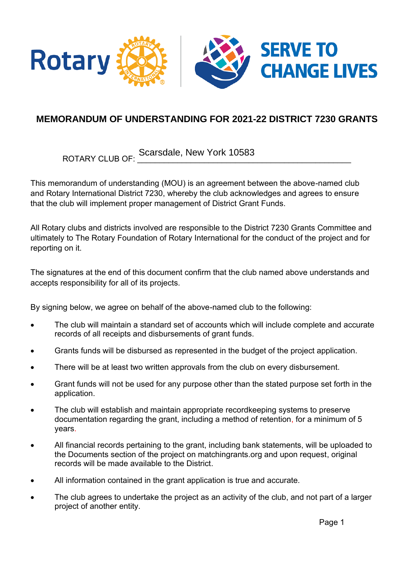

## **MEMORANDUM OF UNDERSTANDING FOR 2021-22 DISTRICT 7230 GRANTS**

ROTARY CLUB OF: \_\_\_\_\_\_\_\_\_\_\_\_\_\_\_\_\_\_\_\_\_\_\_\_\_\_\_\_\_\_\_\_\_\_\_\_\_\_\_\_\_\_\_\_\_\_\_\_ Scarsdale, New York 10583

This memorandum of understanding (MOU) is an agreement between the above-named club and Rotary International District 7230, whereby the club acknowledges and agrees to ensure that the club will implement proper management of District Grant Funds.

All Rotary clubs and districts involved are responsible to the District 7230 Grants Committee and ultimately to The Rotary Foundation of Rotary International for the conduct of the project and for reporting on it.

The signatures at the end of this document confirm that the club named above understands and accepts responsibility for all of its projects.

By signing below, we agree on behalf of the above-named club to the following:

- The club will maintain a standard set of accounts which will include complete and accurate records of all receipts and disbursements of grant funds.
- Grants funds will be disbursed as represented in the budget of the project application.
- There will be at least two written approvals from the club on every disbursement.
- Grant funds will not be used for any purpose other than the stated purpose set forth in the application.
- The club will establish and maintain appropriate recordkeeping systems to preserve documentation regarding the grant, including a method of retention, for a minimum of 5 years.
- All financial records pertaining to the grant, including bank statements, will be uploaded to the Documents section of the project on matchingrants.org and upon request, original records will be made available to the District.
- All information contained in the grant application is true and accurate.
- The club agrees to undertake the project as an activity of the club, and not part of a larger project of another entity.